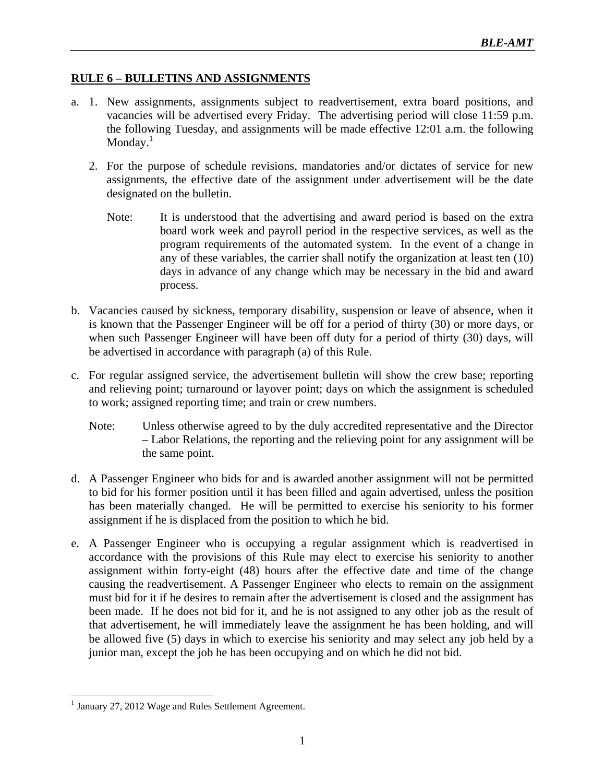## **RULE 6 – BULLETINS AND ASSIGNMENTS**

- a. 1. New assignments, assignments subject to readvertisement, extra board positions, and vacancies will be advertised every Friday. The advertising period will close 11:59 p.m. the following Tuesday, and assignments will be made effective 12:01 a.m. the following Monday.<sup>1</sup>
	- 2. For the purpose of schedule revisions, mandatories and/or dictates of service for new assignments, the effective date of the assignment under advertisement will be the date designated on the bulletin.
		- Note: It is understood that the advertising and award period is based on the extra board work week and payroll period in the respective services, as well as the program requirements of the automated system. In the event of a change in any of these variables, the carrier shall notify the organization at least ten (10) days in advance of any change which may be necessary in the bid and award process.
- b. Vacancies caused by sickness, temporary disability, suspension or leave of absence, when it is known that the Passenger Engineer will be off for a period of thirty (30) or more days, or when such Passenger Engineer will have been off duty for a period of thirty (30) days, will be advertised in accordance with paragraph (a) of this Rule.
- c. For regular assigned service, the advertisement bulletin will show the crew base; reporting and relieving point; turnaround or layover point; days on which the assignment is scheduled to work; assigned reporting time; and train or crew numbers.
	- Note: Unless otherwise agreed to by the duly accredited representative and the Director – Labor Relations, the reporting and the relieving point for any assignment will be the same point.
- d. A Passenger Engineer who bids for and is awarded another assignment will not be permitted to bid for his former position until it has been filled and again advertised, unless the position has been materially changed. He will be permitted to exercise his seniority to his former assignment if he is displaced from the position to which he bid.
- e. A Passenger Engineer who is occupying a regular assignment which is readvertised in accordance with the provisions of this Rule may elect to exercise his seniority to another assignment within forty-eight (48) hours after the effective date and time of the change causing the readvertisement. A Passenger Engineer who elects to remain on the assignment must bid for it if he desires to remain after the advertisement is closed and the assignment has been made. If he does not bid for it, and he is not assigned to any other job as the result of that advertisement, he will immediately leave the assignment he has been holding, and will be allowed five (5) days in which to exercise his seniority and may select any job held by a junior man, except the job he has been occupying and on which he did not bid.

<sup>&</sup>lt;u>.</u> <sup>1</sup> January 27, 2012 Wage and Rules Settlement Agreement.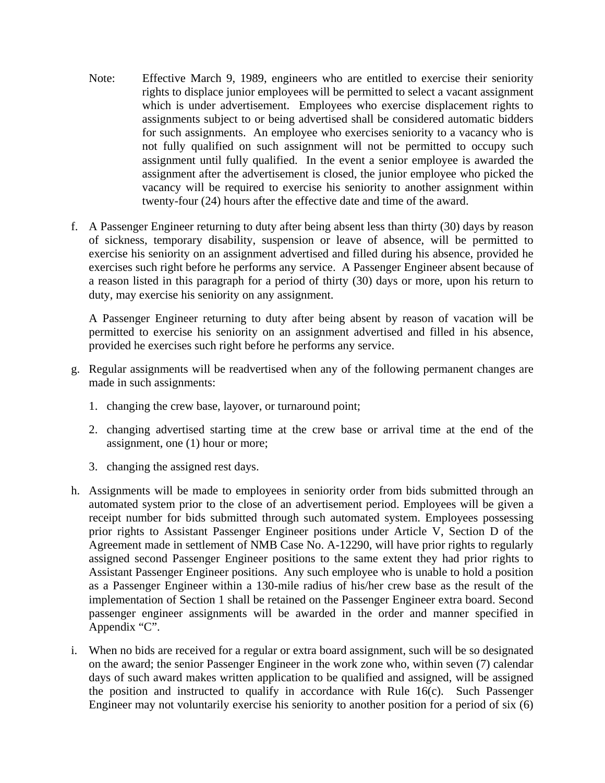- Note: Effective March 9, 1989, engineers who are entitled to exercise their seniority rights to displace junior employees will be permitted to select a vacant assignment which is under advertisement. Employees who exercise displacement rights to assignments subject to or being advertised shall be considered automatic bidders for such assignments. An employee who exercises seniority to a vacancy who is not fully qualified on such assignment will not be permitted to occupy such assignment until fully qualified. In the event a senior employee is awarded the assignment after the advertisement is closed, the junior employee who picked the vacancy will be required to exercise his seniority to another assignment within twenty-four (24) hours after the effective date and time of the award.
- f. A Passenger Engineer returning to duty after being absent less than thirty (30) days by reason of sickness, temporary disability, suspension or leave of absence, will be permitted to exercise his seniority on an assignment advertised and filled during his absence, provided he exercises such right before he performs any service. A Passenger Engineer absent because of a reason listed in this paragraph for a period of thirty (30) days or more, upon his return to duty, may exercise his seniority on any assignment.

A Passenger Engineer returning to duty after being absent by reason of vacation will be permitted to exercise his seniority on an assignment advertised and filled in his absence, provided he exercises such right before he performs any service.

- g. Regular assignments will be readvertised when any of the following permanent changes are made in such assignments:
	- 1. changing the crew base, layover, or turnaround point;
	- 2. changing advertised starting time at the crew base or arrival time at the end of the assignment, one (1) hour or more;
	- 3. changing the assigned rest days.
- h. Assignments will be made to employees in seniority order from bids submitted through an automated system prior to the close of an advertisement period. Employees will be given a receipt number for bids submitted through such automated system. Employees possessing prior rights to Assistant Passenger Engineer positions under Article V, Section D of the Agreement made in settlement of NMB Case No. A-12290, will have prior rights to regularly assigned second Passenger Engineer positions to the same extent they had prior rights to Assistant Passenger Engineer positions. Any such employee who is unable to hold a position as a Passenger Engineer within a 130-mile radius of his/her crew base as the result of the implementation of Section 1 shall be retained on the Passenger Engineer extra board. Second passenger engineer assignments will be awarded in the order and manner specified in Appendix "C".
- i. When no bids are received for a regular or extra board assignment, such will be so designated on the award; the senior Passenger Engineer in the work zone who, within seven (7) calendar days of such award makes written application to be qualified and assigned, will be assigned the position and instructed to qualify in accordance with Rule 16(c). Such Passenger Engineer may not voluntarily exercise his seniority to another position for a period of six (6)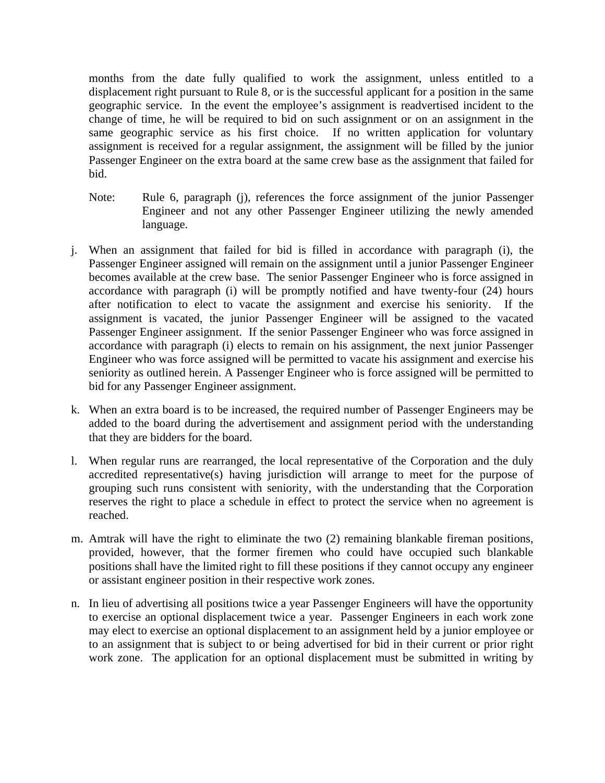months from the date fully qualified to work the assignment, unless entitled to a displacement right pursuant to Rule 8, or is the successful applicant for a position in the same geographic service. In the event the employee's assignment is readvertised incident to the change of time, he will be required to bid on such assignment or on an assignment in the same geographic service as his first choice. If no written application for voluntary assignment is received for a regular assignment, the assignment will be filled by the junior Passenger Engineer on the extra board at the same crew base as the assignment that failed for bid.

- Note: Rule 6, paragraph (j), references the force assignment of the junior Passenger Engineer and not any other Passenger Engineer utilizing the newly amended language.
- j. When an assignment that failed for bid is filled in accordance with paragraph (i), the Passenger Engineer assigned will remain on the assignment until a junior Passenger Engineer becomes available at the crew base. The senior Passenger Engineer who is force assigned in accordance with paragraph (i) will be promptly notified and have twenty-four (24) hours after notification to elect to vacate the assignment and exercise his seniority. If the assignment is vacated, the junior Passenger Engineer will be assigned to the vacated Passenger Engineer assignment. If the senior Passenger Engineer who was force assigned in accordance with paragraph (i) elects to remain on his assignment, the next junior Passenger Engineer who was force assigned will be permitted to vacate his assignment and exercise his seniority as outlined herein. A Passenger Engineer who is force assigned will be permitted to bid for any Passenger Engineer assignment.
- k. When an extra board is to be increased, the required number of Passenger Engineers may be added to the board during the advertisement and assignment period with the understanding that they are bidders for the board.
- l. When regular runs are rearranged, the local representative of the Corporation and the duly accredited representative(s) having jurisdiction will arrange to meet for the purpose of grouping such runs consistent with seniority, with the understanding that the Corporation reserves the right to place a schedule in effect to protect the service when no agreement is reached.
- m. Amtrak will have the right to eliminate the two (2) remaining blankable fireman positions, provided, however, that the former firemen who could have occupied such blankable positions shall have the limited right to fill these positions if they cannot occupy any engineer or assistant engineer position in their respective work zones.
- n. In lieu of advertising all positions twice a year Passenger Engineers will have the opportunity to exercise an optional displacement twice a year. Passenger Engineers in each work zone may elect to exercise an optional displacement to an assignment held by a junior employee or to an assignment that is subject to or being advertised for bid in their current or prior right work zone. The application for an optional displacement must be submitted in writing by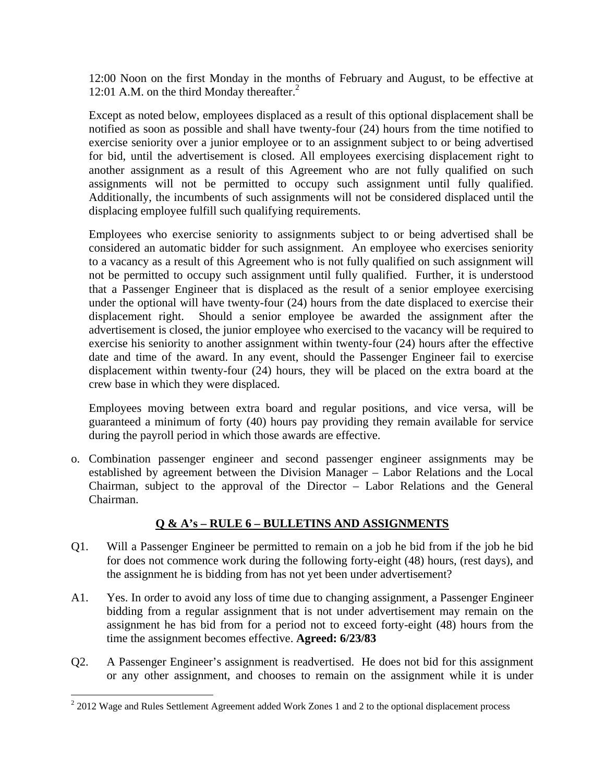12:00 Noon on the first Monday in the months of February and August, to be effective at 12:01 A.M. on the third Monday thereafter. $<sup>2</sup>$ </sup>

Except as noted below, employees displaced as a result of this optional displacement shall be notified as soon as possible and shall have twenty-four (24) hours from the time notified to exercise seniority over a junior employee or to an assignment subject to or being advertised for bid, until the advertisement is closed. All employees exercising displacement right to another assignment as a result of this Agreement who are not fully qualified on such assignments will not be permitted to occupy such assignment until fully qualified. Additionally, the incumbents of such assignments will not be considered displaced until the displacing employee fulfill such qualifying requirements.

Employees who exercise seniority to assignments subject to or being advertised shall be considered an automatic bidder for such assignment. An employee who exercises seniority to a vacancy as a result of this Agreement who is not fully qualified on such assignment will not be permitted to occupy such assignment until fully qualified. Further, it is understood that a Passenger Engineer that is displaced as the result of a senior employee exercising under the optional will have twenty-four (24) hours from the date displaced to exercise their displacement right. Should a senior employee be awarded the assignment after the advertisement is closed, the junior employee who exercised to the vacancy will be required to exercise his seniority to another assignment within twenty-four (24) hours after the effective date and time of the award. In any event, should the Passenger Engineer fail to exercise displacement within twenty-four (24) hours, they will be placed on the extra board at the crew base in which they were displaced.

Employees moving between extra board and regular positions, and vice versa, will be guaranteed a minimum of forty (40) hours pay providing they remain available for service during the payroll period in which those awards are effective.

o. Combination passenger engineer and second passenger engineer assignments may be established by agreement between the Division Manager – Labor Relations and the Local Chairman, subject to the approval of the Director – Labor Relations and the General Chairman.

## **Q & A's – RULE 6 – BULLETINS AND ASSIGNMENTS**

- Q1. Will a Passenger Engineer be permitted to remain on a job he bid from if the job he bid for does not commence work during the following forty-eight (48) hours, (rest days), and the assignment he is bidding from has not yet been under advertisement?
- A1. Yes. In order to avoid any loss of time due to changing assignment, a Passenger Engineer bidding from a regular assignment that is not under advertisement may remain on the assignment he has bid from for a period not to exceed forty-eight (48) hours from the time the assignment becomes effective. **Agreed: 6/23/83**
- Q2. A Passenger Engineer's assignment is readvertised. He does not bid for this assignment or any other assignment, and chooses to remain on the assignment while it is under

 $\overline{a}$ 

 $2$  2012 Wage and Rules Settlement Agreement added Work Zones 1 and 2 to the optional displacement process